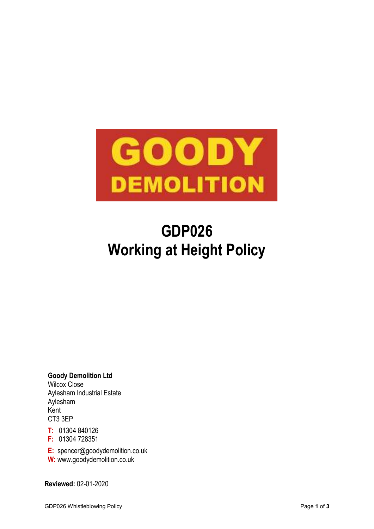

# **GDP026 Working at Height Policy**

**Goody Demolition Ltd** Wilcox Close Aylesham Industrial Estate Aylesham Kent CT3 3EP

**T:** 01304 840126

**F:** 01304 728351

**E:** spencer@goodydemolition.co.uk

**W:** www.goodydemolition.co.uk

**Reviewed:** 02-01-2020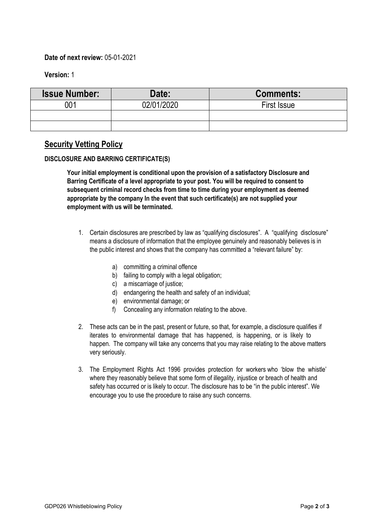## **Date of next review:** 05-01-2021

**Version:** 1

| <b>Issue Number:</b> | Date:      | <b>Comments:</b> |
|----------------------|------------|------------------|
| 00 <sup>.</sup>      | 02/01/2020 | First Issue      |
|                      |            |                  |
|                      |            |                  |

# **Security Vetting Policy**

## **DISCLOSURE AND BARRING CERTIFICATE(S)**

**Your initial employment is conditional upon the provision of a satisfactory Disclosure and Barring Certificate of a level appropriate to your post. You will be required to consent to subsequent criminal record checks from time to time during your employment as deemed appropriate by the company In the event that such certificate(s) are not supplied your employment with us will be terminated.**

- 1. Certain disclosures are prescribed by law as "qualifying disclosures". A "qualifying disclosure" means a disclosure of information that the employee genuinely and reasonably believes is in the public interest and shows that the company has committed a "relevant failure" by:
	- a) committing a criminal offence
	- b) failing to comply with a legal obligation;
	- c) a miscarriage of justice;
	- d) endangering the health and safety of an individual;
	- e) environmental damage; or
	- f) Concealing any information relating to the above.
- 2. These acts can be in the past, present or future, so that, for example, a disclosure qualifies if iterates to environmental damage that has happened, is happening, or is likely to happen. The company will take any concerns that you may raise relating to the above matters very seriously.
- 3. The Employment Rights Act 1996 provides protection for workers who 'blow the whistle' where they reasonably believe that some form of illegality, injustice or breach of health and safety has occurred or is likely to occur. The disclosure has to be "in the public interest". We encourage you to use the procedure to raise any such concerns.